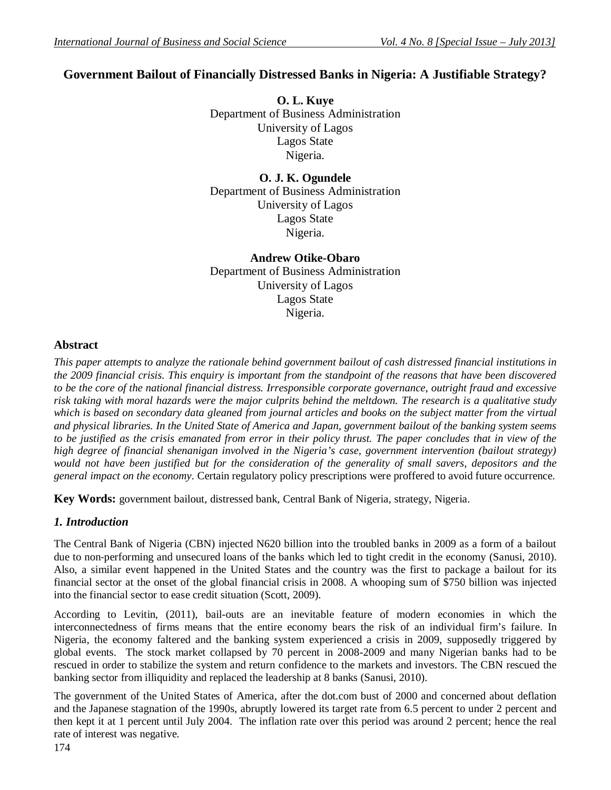# **Government Bailout of Financially Distressed Banks in Nigeria: A Justifiable Strategy?**

**O. L. Kuye** Department of Business Administration University of Lagos Lagos State Nigeria.

**O. J. K. Ogundele** Department of Business Administration University of Lagos Lagos State Nigeria.

**Andrew Otike-Obaro** Department of Business Administration University of Lagos Lagos State Nigeria.

### **Abstract**

*This paper attempts to analyze the rationale behind government bailout of cash distressed financial institutions in the 2009 financial crisis. This enquiry is important from the standpoint of the reasons that have been discovered to be the core of the national financial distress. Irresponsible corporate governance, outright fraud and excessive risk taking with moral hazards were the major culprits behind the meltdown. The research is a qualitative study which is based on secondary data gleaned from journal articles and books on the subject matter from the virtual and physical libraries. In the United State of America and Japan, government bailout of the banking system seems to be justified as the crisis emanated from error in their policy thrust. The paper concludes that in view of the high degree of financial shenanigan involved in the Nigeria's case, government intervention (bailout strategy)*  would not have been justified but for the consideration of the generality of small savers, depositors and the *general impact on the economy*. Certain regulatory policy prescriptions were proffered to avoid future occurrence.

**Key Words:** government bailout, distressed bank, Central Bank of Nigeria, strategy, Nigeria.

## *1. Introduction*

The Central Bank of Nigeria (CBN) injected N620 billion into the troubled banks in 2009 as a form of a bailout due to non-performing and unsecured loans of the banks which led to tight credit in the economy (Sanusi, 2010). Also, a similar event happened in the United States and the country was the first to package a bailout for its financial sector at the onset of the global financial crisis in 2008. A whooping sum of \$750 billion was injected into the financial sector to ease credit situation (Scott, 2009).

According to Levitin, (2011), bail-outs are an inevitable feature of modern economies in which the interconnectedness of firms means that the entire economy bears the risk of an individual firm's failure. In Nigeria, the economy faltered and the banking system experienced a crisis in 2009, supposedly triggered by global events. The stock market collapsed by 70 percent in 2008-2009 and many Nigerian banks had to be rescued in order to stabilize the system and return confidence to the markets and investors. The CBN rescued the banking sector from illiquidity and replaced the leadership at 8 banks (Sanusi, 2010).

The government of the United States of America, after the dot.com bust of 2000 and concerned about deflation and the Japanese stagnation of the 1990s, abruptly lowered its target rate from 6.5 percent to under 2 percent and then kept it at 1 percent until July 2004. The inflation rate over this period was around 2 percent; hence the real rate of interest was negative.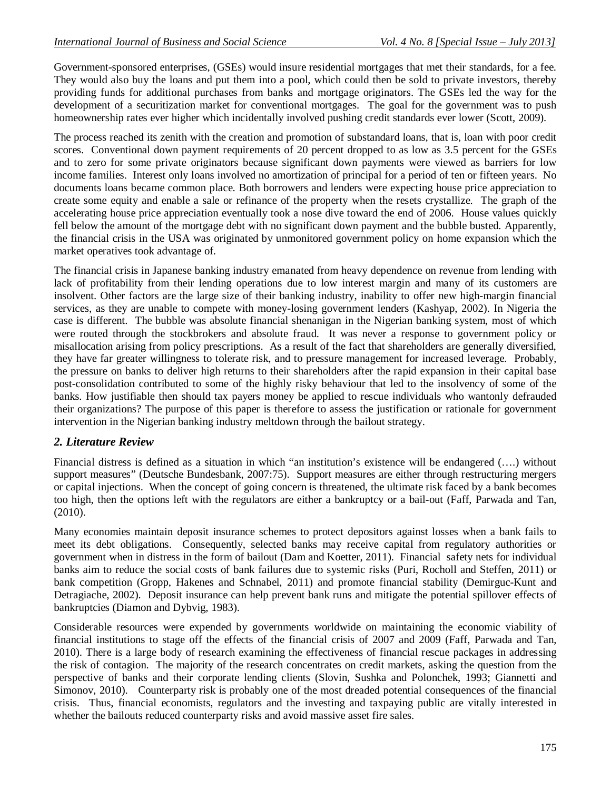Government-sponsored enterprises, (GSEs) would insure residential mortgages that met their standards, for a fee. They would also buy the loans and put them into a pool, which could then be sold to private investors, thereby providing funds for additional purchases from banks and mortgage originators. The GSEs led the way for the development of a securitization market for conventional mortgages. The goal for the government was to push homeownership rates ever higher which incidentally involved pushing credit standards ever lower (Scott, 2009).

The process reached its zenith with the creation and promotion of substandard loans, that is, loan with poor credit scores. Conventional down payment requirements of 20 percent dropped to as low as 3.5 percent for the GSEs and to zero for some private originators because significant down payments were viewed as barriers for low income families. Interest only loans involved no amortization of principal for a period of ten or fifteen years. No documents loans became common place. Both borrowers and lenders were expecting house price appreciation to create some equity and enable a sale or refinance of the property when the resets crystallize. The graph of the accelerating house price appreciation eventually took a nose dive toward the end of 2006. House values quickly fell below the amount of the mortgage debt with no significant down payment and the bubble busted. Apparently, the financial crisis in the USA was originated by unmonitored government policy on home expansion which the market operatives took advantage of.

The financial crisis in Japanese banking industry emanated from heavy dependence on revenue from lending with lack of profitability from their lending operations due to low interest margin and many of its customers are insolvent. Other factors are the large size of their banking industry, inability to offer new high-margin financial services, as they are unable to compete with money-losing government lenders (Kashyap, 2002). In Nigeria the case is different. The bubble was absolute financial shenanigan in the Nigerian banking system, most of which were routed through the stockbrokers and absolute fraud. It was never a response to government policy or misallocation arising from policy prescriptions. As a result of the fact that shareholders are generally diversified, they have far greater willingness to tolerate risk, and to pressure management for increased leverage. Probably, the pressure on banks to deliver high returns to their shareholders after the rapid expansion in their capital base post-consolidation contributed to some of the highly risky behaviour that led to the insolvency of some of the banks. How justifiable then should tax payers money be applied to rescue individuals who wantonly defrauded their organizations? The purpose of this paper is therefore to assess the justification or rationale for government intervention in the Nigerian banking industry meltdown through the bailout strategy.

#### *2. Literature Review*

Financial distress is defined as a situation in which "an institution's existence will be endangered (….) without support measures" (Deutsche Bundesbank, 2007:75). Support measures are either through restructuring mergers or capital injections. When the concept of going concern is threatened, the ultimate risk faced by a bank becomes too high, then the options left with the regulators are either a bankruptcy or a bail-out (Faff, Parwada and Tan, (2010).

Many economies maintain deposit insurance schemes to protect depositors against losses when a bank fails to meet its debt obligations. Consequently, selected banks may receive capital from regulatory authorities or government when in distress in the form of bailout (Dam and Koetter, 2011). Financial safety nets for individual banks aim to reduce the social costs of bank failures due to systemic risks (Puri, Rocholl and Steffen, 2011) or bank competition (Gropp, Hakenes and Schnabel, 2011) and promote financial stability (Demirguc-Kunt and Detragiache, 2002). Deposit insurance can help prevent bank runs and mitigate the potential spillover effects of bankruptcies (Diamon and Dybvig, 1983).

Considerable resources were expended by governments worldwide on maintaining the economic viability of financial institutions to stage off the effects of the financial crisis of 2007 and 2009 (Faff, Parwada and Tan, 2010). There is a large body of research examining the effectiveness of financial rescue packages in addressing the risk of contagion. The majority of the research concentrates on credit markets, asking the question from the perspective of banks and their corporate lending clients (Slovin, Sushka and Polonchek, 1993; Giannetti and Simonov, 2010). Counterparty risk is probably one of the most dreaded potential consequences of the financial crisis. Thus, financial economists, regulators and the investing and taxpaying public are vitally interested in whether the bailouts reduced counterparty risks and avoid massive asset fire sales.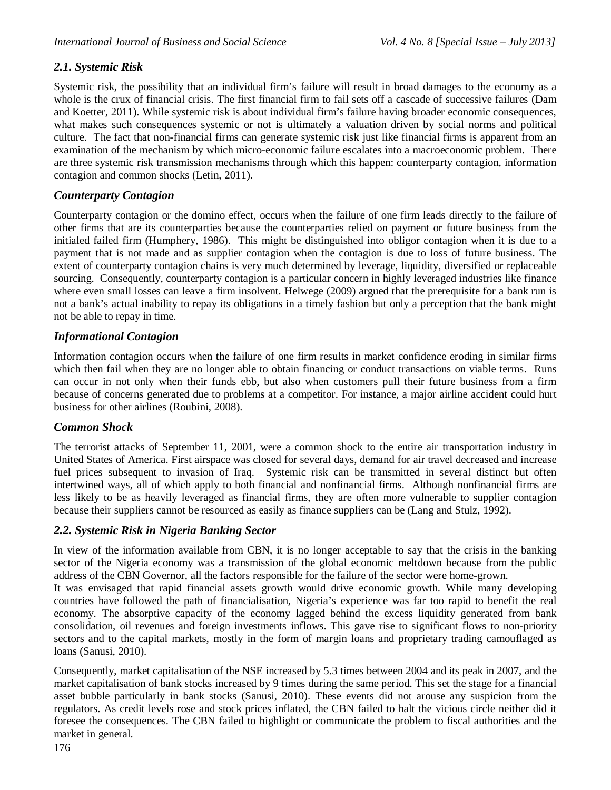# *2.1. Systemic Risk*

Systemic risk, the possibility that an individual firm's failure will result in broad damages to the economy as a whole is the crux of financial crisis. The first financial firm to fail sets off a cascade of successive failures (Dam and Koetter, 2011). While systemic risk is about individual firm's failure having broader economic consequences, what makes such consequences systemic or not is ultimately a valuation driven by social norms and political culture. The fact that non-financial firms can generate systemic risk just like financial firms is apparent from an examination of the mechanism by which micro-economic failure escalates into a macroeconomic problem. There are three systemic risk transmission mechanisms through which this happen: counterparty contagion, information contagion and common shocks (Letin, 2011).

## *Counterparty Contagion*

Counterparty contagion or the domino effect, occurs when the failure of one firm leads directly to the failure of other firms that are its counterparties because the counterparties relied on payment or future business from the initialed failed firm (Humphery, 1986). This might be distinguished into obligor contagion when it is due to a payment that is not made and as supplier contagion when the contagion is due to loss of future business. The extent of counterparty contagion chains is very much determined by leverage, liquidity, diversified or replaceable sourcing. Consequently, counterparty contagion is a particular concern in highly leveraged industries like finance where even small losses can leave a firm insolvent. Helwege (2009) argued that the prerequisite for a bank run is not a bank's actual inability to repay its obligations in a timely fashion but only a perception that the bank might not be able to repay in time.

## *Informational Contagion*

Information contagion occurs when the failure of one firm results in market confidence eroding in similar firms which then fail when they are no longer able to obtain financing or conduct transactions on viable terms. Runs can occur in not only when their funds ebb, but also when customers pull their future business from a firm because of concerns generated due to problems at a competitor. For instance, a major airline accident could hurt business for other airlines (Roubini, 2008).

### *Common Shock*

The terrorist attacks of September 11, 2001, were a common shock to the entire air transportation industry in United States of America. First airspace was closed for several days, demand for air travel decreased and increase fuel prices subsequent to invasion of Iraq. Systemic risk can be transmitted in several distinct but often intertwined ways, all of which apply to both financial and nonfinancial firms. Although nonfinancial firms are less likely to be as heavily leveraged as financial firms, they are often more vulnerable to supplier contagion because their suppliers cannot be resourced as easily as finance suppliers can be (Lang and Stulz, 1992).

## *2.2. Systemic Risk in Nigeria Banking Sector*

In view of the information available from CBN, it is no longer acceptable to say that the crisis in the banking sector of the Nigeria economy was a transmission of the global economic meltdown because from the public address of the CBN Governor, all the factors responsible for the failure of the sector were home-grown.

It was envisaged that rapid financial assets growth would drive economic growth. While many developing countries have followed the path of financialisation, Nigeria's experience was far too rapid to benefit the real economy. The absorptive capacity of the economy lagged behind the excess liquidity generated from bank consolidation, oil revenues and foreign investments inflows. This gave rise to significant flows to non-priority sectors and to the capital markets, mostly in the form of margin loans and proprietary trading camouflaged as loans (Sanusi, 2010).

Consequently, market capitalisation of the NSE increased by 5.3 times between 2004 and its peak in 2007, and the market capitalisation of bank stocks increased by 9 times during the same period. This set the stage for a financial asset bubble particularly in bank stocks (Sanusi, 2010). These events did not arouse any suspicion from the regulators. As credit levels rose and stock prices inflated, the CBN failed to halt the vicious circle neither did it foresee the consequences. The CBN failed to highlight or communicate the problem to fiscal authorities and the market in general.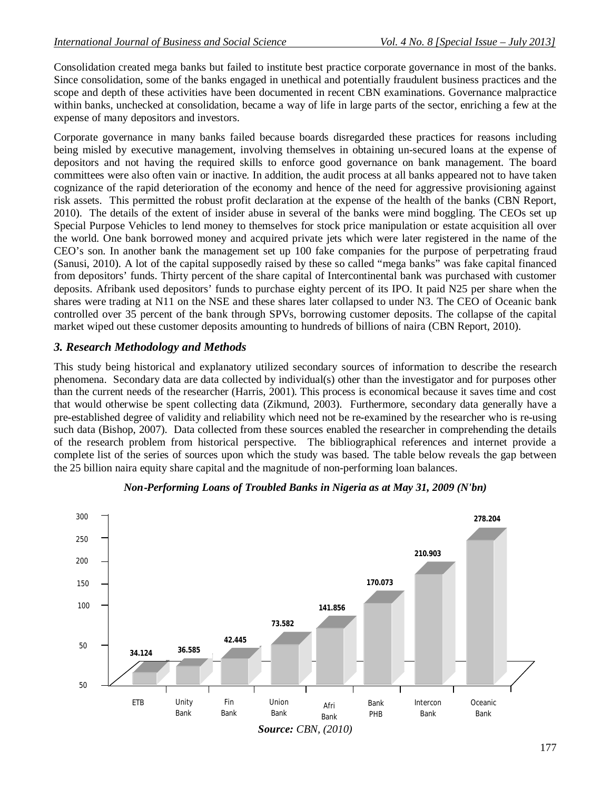Consolidation created mega banks but failed to institute best practice corporate governance in most of the banks. Since consolidation, some of the banks engaged in unethical and potentially fraudulent business practices and the scope and depth of these activities have been documented in recent CBN examinations. Governance malpractice within banks, unchecked at consolidation, became a way of life in large parts of the sector, enriching a few at the expense of many depositors and investors.

Corporate governance in many banks failed because boards disregarded these practices for reasons including being misled by executive management, involving themselves in obtaining un-secured loans at the expense of depositors and not having the required skills to enforce good governance on bank management. The board committees were also often vain or inactive. In addition, the audit process at all banks appeared not to have taken cognizance of the rapid deterioration of the economy and hence of the need for aggressive provisioning against risk assets. This permitted the robust profit declaration at the expense of the health of the banks (CBN Report, 2010). The details of the extent of insider abuse in several of the banks were mind boggling. The CEOs set up Special Purpose Vehicles to lend money to themselves for stock price manipulation or estate acquisition all over the world. One bank borrowed money and acquired private jets which were later registered in the name of the CEO's son. In another bank the management set up 100 fake companies for the purpose of perpetrating fraud (Sanusi, 2010). A lot of the capital supposedly raised by these so called "mega banks" was fake capital financed from depositors' funds. Thirty percent of the share capital of Intercontinental bank was purchased with customer deposits. Afribank used depositors' funds to purchase eighty percent of its IPO. It paid N25 per share when the shares were trading at N11 on the NSE and these shares later collapsed to under N3. The CEO of Oceanic bank controlled over 35 percent of the bank through SPVs, borrowing customer deposits. The collapse of the capital market wiped out these customer deposits amounting to hundreds of billions of naira (CBN Report, 2010).

#### *3. Research Methodology and Methods*

This study being historical and explanatory utilized secondary sources of information to describe the research phenomena. Secondary data are data collected by individual(s) other than the investigator and for purposes other than the current needs of the researcher (Harris, 2001). This process is economical because it saves time and cost that would otherwise be spent collecting data (Zikmund, 2003). Furthermore, secondary data generally have a pre-established degree of validity and reliability which need not be re-examined by the researcher who is re-using such data (Bishop, 2007). Data collected from these sources enabled the researcher in comprehending the details of the research problem from historical perspective. The bibliographical references and internet provide a complete list of the series of sources upon which the study was based. The table below reveals the gap between the 25 billion naira equity share capital and the magnitude of non-performing loan balances.



#### *Non‐Performing Loans of Troubled Banks in Nigeria as at May 31, 2009 (N'bn)*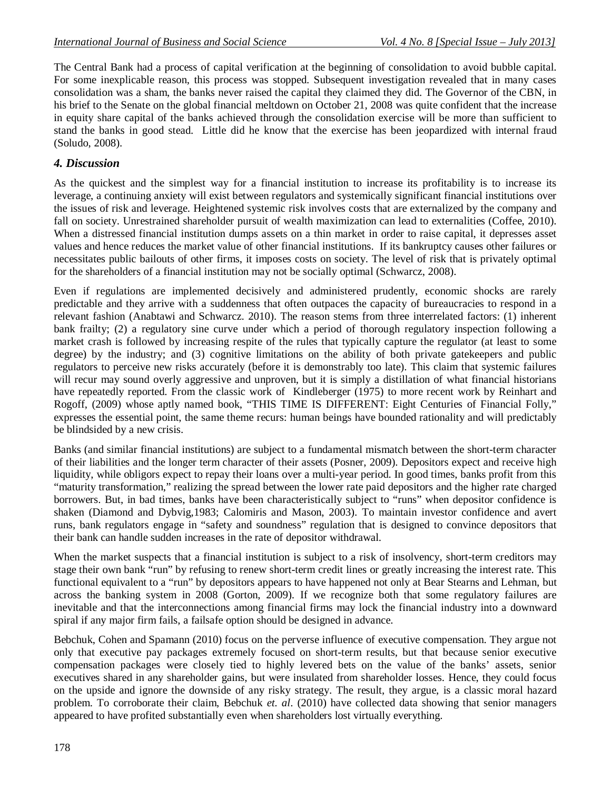The Central Bank had a process of capital verification at the beginning of consolidation to avoid bubble capital. For some inexplicable reason, this process was stopped. Subsequent investigation revealed that in many cases consolidation was a sham, the banks never raised the capital they claimed they did. The Governor of the CBN, in his brief to the Senate on the global financial meltdown on October 21, 2008 was quite confident that the increase in equity share capital of the banks achieved through the consolidation exercise will be more than sufficient to stand the banks in good stead. Little did he know that the exercise has been jeopardized with internal fraud (Soludo, 2008).

### *4. Discussion*

As the quickest and the simplest way for a financial institution to increase its profitability is to increase its leverage, a continuing anxiety will exist between regulators and systemically significant financial institutions over the issues of risk and leverage. Heightened systemic risk involves costs that are externalized by the company and fall on society. Unrestrained shareholder pursuit of wealth maximization can lead to externalities (Coffee, 2010). When a distressed financial institution dumps assets on a thin market in order to raise capital, it depresses asset values and hence reduces the market value of other financial institutions. If its bankruptcy causes other failures or necessitates public bailouts of other firms, it imposes costs on society. The level of risk that is privately optimal for the shareholders of a financial institution may not be socially optimal (Schwarcz, 2008).

Even if regulations are implemented decisively and administered prudently, economic shocks are rarely predictable and they arrive with a suddenness that often outpaces the capacity of bureaucracies to respond in a relevant fashion (Anabtawi and Schwarcz. 2010). The reason stems from three interrelated factors: (1) inherent bank frailty; (2) a regulatory sine curve under which a period of thorough regulatory inspection following a market crash is followed by increasing respite of the rules that typically capture the regulator (at least to some degree) by the industry; and (3) cognitive limitations on the ability of both private gatekeepers and public regulators to perceive new risks accurately (before it is demonstrably too late). This claim that systemic failures will recur may sound overly aggressive and unproven, but it is simply a distillation of what financial historians have repeatedly reported. From the classic work of Kindleberger (1975) to more recent work by Reinhart and Rogoff, (2009) whose aptly named book, "THIS TIME IS DIFFERENT: Eight Centuries of Financial Folly," expresses the essential point, the same theme recurs: human beings have bounded rationality and will predictably be blindsided by a new crisis.

Banks (and similar financial institutions) are subject to a fundamental mismatch between the short-term character of their liabilities and the longer term character of their assets (Posner, 2009). Depositors expect and receive high liquidity, while obligors expect to repay their loans over a multi-year period. In good times, banks profit from this "maturity transformation," realizing the spread between the lower rate paid depositors and the higher rate charged borrowers. But, in bad times, banks have been characteristically subject to "runs" when depositor confidence is shaken (Diamond and Dybvig,1983; Calomiris and Mason, 2003). To maintain investor confidence and avert runs, bank regulators engage in "safety and soundness" regulation that is designed to convince depositors that their bank can handle sudden increases in the rate of depositor withdrawal.

When the market suspects that a financial institution is subject to a risk of insolvency, short-term creditors may stage their own bank "run" by refusing to renew short-term credit lines or greatly increasing the interest rate. This functional equivalent to a "run" by depositors appears to have happened not only at Bear Stearns and Lehman, but across the banking system in 2008 (Gorton, 2009). If we recognize both that some regulatory failures are inevitable and that the interconnections among financial firms may lock the financial industry into a downward spiral if any major firm fails, a failsafe option should be designed in advance.

Bebchuk, Cohen and Spamann (2010) focus on the perverse influence of executive compensation. They argue not only that executive pay packages extremely focused on short-term results, but that because senior executive compensation packages were closely tied to highly levered bets on the value of the banks' assets, senior executives shared in any shareholder gains, but were insulated from shareholder losses. Hence, they could focus on the upside and ignore the downside of any risky strategy. The result, they argue, is a classic moral hazard problem. To corroborate their claim, Bebchuk *et. al*. (2010) have collected data showing that senior managers appeared to have profited substantially even when shareholders lost virtually everything.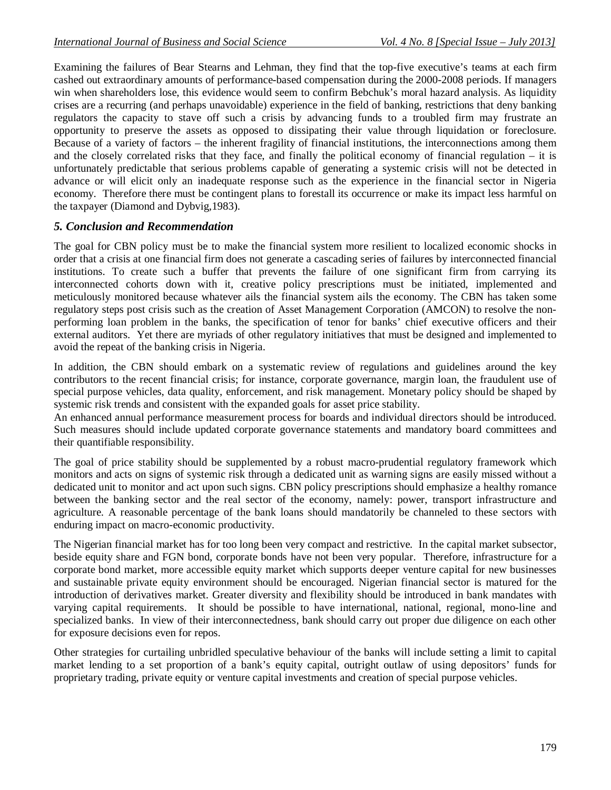Examining the failures of Bear Stearns and Lehman, they find that the top-five executive's teams at each firm cashed out extraordinary amounts of performance-based compensation during the 2000-2008 periods. If managers win when shareholders lose, this evidence would seem to confirm Bebchuk's moral hazard analysis. As liquidity crises are a recurring (and perhaps unavoidable) experience in the field of banking, restrictions that deny banking regulators the capacity to stave off such a crisis by advancing funds to a troubled firm may frustrate an opportunity to preserve the assets as opposed to dissipating their value through liquidation or foreclosure. Because of a variety of factors – the inherent fragility of financial institutions, the interconnections among them and the closely correlated risks that they face, and finally the political economy of financial regulation – it is unfortunately predictable that serious problems capable of generating a systemic crisis will not be detected in advance or will elicit only an inadequate response such as the experience in the financial sector in Nigeria economy. Therefore there must be contingent plans to forestall its occurrence or make its impact less harmful on the taxpayer (Diamond and Dybvig,1983).

#### *5. Conclusion and Recommendation*

The goal for CBN policy must be to make the financial system more resilient to localized economic shocks in order that a crisis at one financial firm does not generate a cascading series of failures by interconnected financial institutions. To create such a buffer that prevents the failure of one significant firm from carrying its interconnected cohorts down with it, creative policy prescriptions must be initiated, implemented and meticulously monitored because whatever ails the financial system ails the economy. The CBN has taken some regulatory steps post crisis such as the creation of Asset Management Corporation (AMCON) to resolve the nonperforming loan problem in the banks, the specification of tenor for banks' chief executive officers and their external auditors. Yet there are myriads of other regulatory initiatives that must be designed and implemented to avoid the repeat of the banking crisis in Nigeria.

In addition, the CBN should embark on a systematic review of regulations and guidelines around the key contributors to the recent financial crisis; for instance, corporate governance, margin loan, the fraudulent use of special purpose vehicles, data quality, enforcement, and risk management. Monetary policy should be shaped by systemic risk trends and consistent with the expanded goals for asset price stability.

An enhanced annual performance measurement process for boards and individual directors should be introduced. Such measures should include updated corporate governance statements and mandatory board committees and their quantifiable responsibility.

The goal of price stability should be supplemented by a robust macro-prudential regulatory framework which monitors and acts on signs of systemic risk through a dedicated unit as warning signs are easily missed without a dedicated unit to monitor and act upon such signs. CBN policy prescriptions should emphasize a healthy romance between the banking sector and the real sector of the economy, namely: power, transport infrastructure and agriculture. A reasonable percentage of the bank loans should mandatorily be channeled to these sectors with enduring impact on macro-economic productivity.

The Nigerian financial market has for too long been very compact and restrictive. In the capital market subsector, beside equity share and FGN bond, corporate bonds have not been very popular. Therefore, infrastructure for a corporate bond market, more accessible equity market which supports deeper venture capital for new businesses and sustainable private equity environment should be encouraged. Nigerian financial sector is matured for the introduction of derivatives market. Greater diversity and flexibility should be introduced in bank mandates with varying capital requirements. It should be possible to have international, national, regional, mono-line and specialized banks. In view of their interconnectedness, bank should carry out proper due diligence on each other for exposure decisions even for repos.

Other strategies for curtailing unbridled speculative behaviour of the banks will include setting a limit to capital market lending to a set proportion of a bank's equity capital, outright outlaw of using depositors' funds for proprietary trading, private equity or venture capital investments and creation of special purpose vehicles.